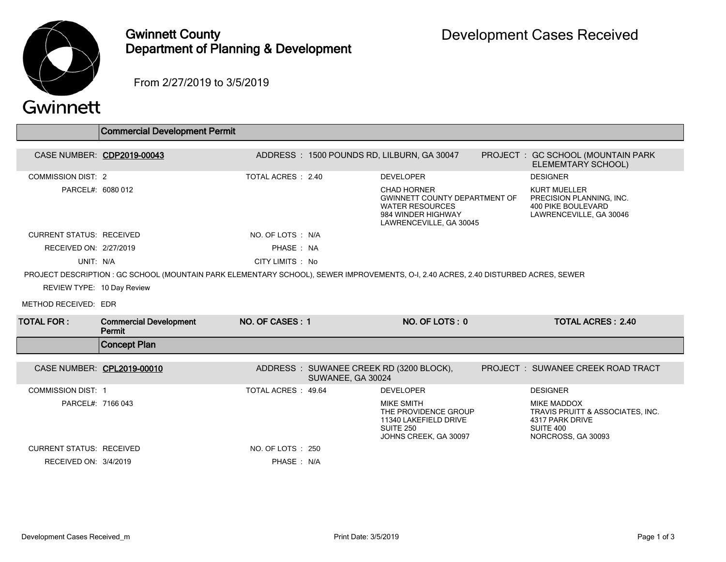

## Gwinnett County Department of Planning & Development

From 2/27/2019 to 3/5/2019

|                                                                                                                                     | <b>Commercial Development Permit</b>    |                           |                   |                                                                                                                                |  |                                                                                                              |  |  |
|-------------------------------------------------------------------------------------------------------------------------------------|-----------------------------------------|---------------------------|-------------------|--------------------------------------------------------------------------------------------------------------------------------|--|--------------------------------------------------------------------------------------------------------------|--|--|
|                                                                                                                                     | CASE NUMBER: CDP2019-00043              |                           |                   | ADDRESS: 1500 POUNDS RD, LILBURN, GA 30047                                                                                     |  | PROJECT : GC SCHOOL (MOUNTAIN PARK<br>ELEMEMTARY SCHOOL)                                                     |  |  |
| <b>COMMISSION DIST: 2</b>                                                                                                           |                                         | <b>TOTAL ACRES : 2.40</b> |                   | <b>DEVELOPER</b>                                                                                                               |  | <b>DESIGNER</b>                                                                                              |  |  |
| PARCEL#: 6080 012                                                                                                                   |                                         |                           |                   | CHAD HORNER<br><b>GWINNETT COUNTY DEPARTMENT OF</b><br><b>WATER RESOURCES</b><br>984 WINDER HIGHWAY<br>LAWRENCEVILLE, GA 30045 |  | <b>KURT MUELLER</b><br>PRECISION PLANNING, INC.<br><b>400 PIKE BOULEVARD</b><br>LAWRENCEVILLE, GA 30046      |  |  |
| <b>CURRENT STATUS: RECEIVED</b>                                                                                                     |                                         | NO. OF LOTS : N/A         |                   |                                                                                                                                |  |                                                                                                              |  |  |
| RECEIVED ON: 2/27/2019                                                                                                              |                                         | PHASE: NA                 |                   |                                                                                                                                |  |                                                                                                              |  |  |
| UNIT: N/A                                                                                                                           |                                         | CITY LIMITS: No           |                   |                                                                                                                                |  |                                                                                                              |  |  |
| PROJECT DESCRIPTION : GC SCHOOL (MOUNTAIN PARK ELEMENTARY SCHOOL), SEWER IMPROVEMENTS, O-I, 2.40 ACRES, 2.40 DISTURBED ACRES, SEWER |                                         |                           |                   |                                                                                                                                |  |                                                                                                              |  |  |
| REVIEW TYPE: 10 Day Review                                                                                                          |                                         |                           |                   |                                                                                                                                |  |                                                                                                              |  |  |
| METHOD RECEIVED: EDR                                                                                                                |                                         |                           |                   |                                                                                                                                |  |                                                                                                              |  |  |
| <b>TOTAL FOR :</b>                                                                                                                  | <b>Commercial Development</b><br>Permit | NO. OF CASES: 1           |                   | NO. OF LOTS: 0                                                                                                                 |  | <b>TOTAL ACRES: 2.40</b>                                                                                     |  |  |
|                                                                                                                                     | <b>Concept Plan</b>                     |                           |                   |                                                                                                                                |  |                                                                                                              |  |  |
| CASE NUMBER: CPL2019-00010                                                                                                          |                                         |                           |                   |                                                                                                                                |  |                                                                                                              |  |  |
|                                                                                                                                     |                                         |                           | SUWANEE, GA 30024 | ADDRESS: SUWANEE CREEK RD (3200 BLOCK),                                                                                        |  | PROJECT: SUWANEE CREEK ROAD TRACT                                                                            |  |  |
| <b>COMMISSION DIST: 1</b>                                                                                                           |                                         | TOTAL ACRES: 49.64        |                   | <b>DEVELOPER</b>                                                                                                               |  | <b>DESIGNER</b>                                                                                              |  |  |
| PARCEL#: 7166 043                                                                                                                   |                                         |                           |                   | <b>MIKE SMITH</b><br>THE PROVIDENCE GROUP<br>11340 LAKEFIELD DRIVE<br><b>SUITE 250</b><br>JOHNS CREEK, GA 30097                |  | <b>MIKE MADDOX</b><br>TRAVIS PRUITT & ASSOCIATES, INC.<br>4317 PARK DRIVE<br>SUITE 400<br>NORCROSS, GA 30093 |  |  |
| <b>CURRENT STATUS: RECEIVED</b>                                                                                                     |                                         | NO. OF LOTS : 250         |                   |                                                                                                                                |  |                                                                                                              |  |  |
| RECEIVED ON: 3/4/2019                                                                                                               |                                         | PHASE: N/A                |                   |                                                                                                                                |  |                                                                                                              |  |  |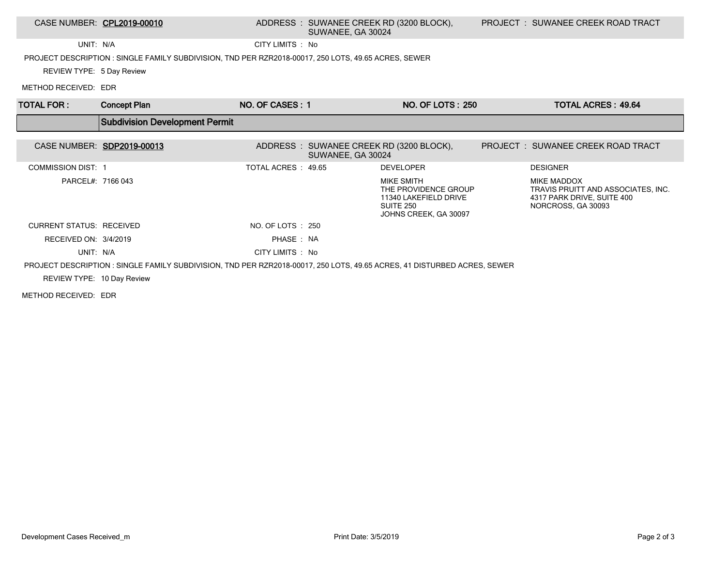### CASE NUMBER: CPL2019-00010 ADDRESS : SUWANEE CREEK RD (3200 BLOCK), SUWANEE, GA 30024

UNIT: N/A CITY LIMITS : No

PROJECT DESCRIPTION : SINGLE FAMILY SUBDIVISION, TND PER RZR2018-00017, 250 LOTS, 49.65 ACRES, SEWER

REVIEW TYPE: 5 Day Review

METHOD RECEIVED: EDR

| <b>TOTAL FOR:</b>          | <b>Concept Plan</b>                                                                                                     | NO. OF CASES: 1     |                                                               | <b>NO. OF LOTS: 250</b>                                                                           | <b>TOTAL ACRES: 49.64</b>                                                                             |
|----------------------------|-------------------------------------------------------------------------------------------------------------------------|---------------------|---------------------------------------------------------------|---------------------------------------------------------------------------------------------------|-------------------------------------------------------------------------------------------------------|
|                            | <b>Subdivision Development Permit</b>                                                                                   |                     |                                                               |                                                                                                   |                                                                                                       |
| CASE NUMBER: SDP2019-00013 |                                                                                                                         |                     | ADDRESS : SUWANEE CREEK RD (3200 BLOCK),<br>SUWANEE, GA 30024 |                                                                                                   | PROJECT : SUWANEE CREEK ROAD TRACT                                                                    |
| <b>COMMISSION DIST: 1</b>  |                                                                                                                         | TOTAL ACRES : 49.65 |                                                               | <b>DEVELOPER</b>                                                                                  | <b>DESIGNER</b>                                                                                       |
| PARCEL#: 7166 043          |                                                                                                                         |                     |                                                               | MIKE SMITH<br>THE PROVIDENCE GROUP<br>11340 LAKEFIELD DRIVE<br>SUITE 250<br>JOHNS CREEK, GA 30097 | MIKE MADDOX<br>TRAVIS PRUITT AND ASSOCIATES, INC.<br>4317 PARK DRIVE, SUITE 400<br>NORCROSS, GA 30093 |
| CURRENT STATUS: RECEIVED   |                                                                                                                         | NO. OF LOTS : 250   |                                                               |                                                                                                   |                                                                                                       |
| RECEIVED ON: 3/4/2019      |                                                                                                                         | PHASE: NA           |                                                               |                                                                                                   |                                                                                                       |
| UNIT: N/A                  |                                                                                                                         | CITY LIMITS : No    |                                                               |                                                                                                   |                                                                                                       |
|                            | PROJECT DESCRIPTION: SINGLE FAMILY SUBDIVISION, TND PER RZR2018-00017, 250 LOTS, 49.65 ACRES, 41 DISTURBED ACRES, SEWER |                     |                                                               |                                                                                                   |                                                                                                       |
| REVIEW TYPE: 10 Day Review |                                                                                                                         |                     |                                                               |                                                                                                   |                                                                                                       |

METHOD RECEIVED: EDR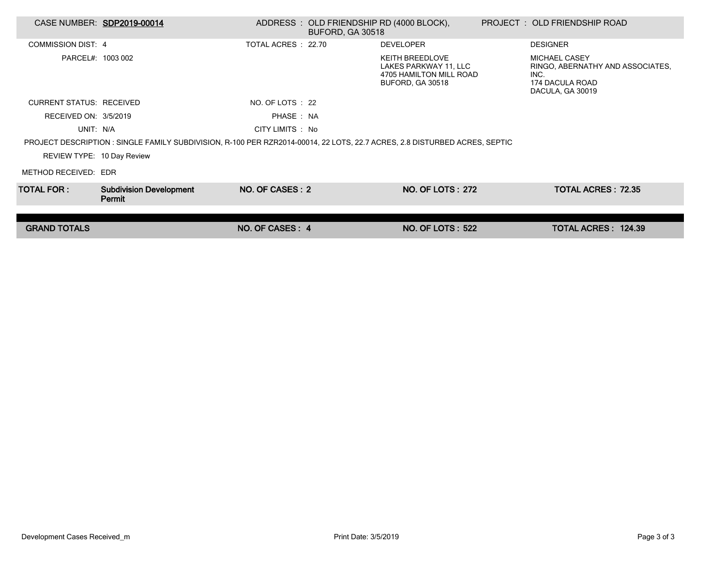| CASE NUMBER: SDP2019-00014      |                                                                                                                            |                     | ADDRESS: OLD FRIENDSHIP RD (4000 BLOCK),<br><b>BUFORD, GA 30518</b> |                                                                                                       | PROJECT: OLD FRIENDSHIP ROAD                                                                            |  |
|---------------------------------|----------------------------------------------------------------------------------------------------------------------------|---------------------|---------------------------------------------------------------------|-------------------------------------------------------------------------------------------------------|---------------------------------------------------------------------------------------------------------|--|
| <b>COMMISSION DIST: 4</b>       |                                                                                                                            | TOTAL ACRES : 22.70 |                                                                     | <b>DEVELOPER</b>                                                                                      | <b>DESIGNER</b>                                                                                         |  |
| PARCEL#: 1003 002               |                                                                                                                            |                     |                                                                     | <b>KEITH BREEDLOVE</b><br>LAKES PARKWAY 11, LLC<br>4705 HAMILTON MILL ROAD<br><b>BUFORD, GA 30518</b> | <b>MICHAEL CASEY</b><br>RINGO, ABERNATHY AND ASSOCIATES.<br>INC.<br>174 DACULA ROAD<br>DACULA, GA 30019 |  |
| <b>CURRENT STATUS: RECEIVED</b> |                                                                                                                            | NO. OF LOTS : 22    |                                                                     |                                                                                                       |                                                                                                         |  |
| RECEIVED ON: 3/5/2019           |                                                                                                                            | PHASE: NA           |                                                                     |                                                                                                       |                                                                                                         |  |
| UNIT: N/A                       |                                                                                                                            | CITY LIMITS : No    |                                                                     |                                                                                                       |                                                                                                         |  |
|                                 | PROJECT DESCRIPTION : SINGLE FAMILY SUBDIVISION, R-100 PER RZR2014-00014, 22 LOTS, 22.7 ACRES, 2.8 DISTURBED ACRES, SEPTIC |                     |                                                                     |                                                                                                       |                                                                                                         |  |
| REVIEW TYPE: 10 Day Review      |                                                                                                                            |                     |                                                                     |                                                                                                       |                                                                                                         |  |
| METHOD RECEIVED: EDR            |                                                                                                                            |                     |                                                                     |                                                                                                       |                                                                                                         |  |
| TOTAL FOR : I                   | <b>Subdivision Development</b><br>Permit                                                                                   | NO. OF CASES: 2     |                                                                     | <b>NO. OF LOTS: 272</b>                                                                               | <b>TOTAL ACRES: 72.35</b>                                                                               |  |
|                                 |                                                                                                                            |                     |                                                                     |                                                                                                       |                                                                                                         |  |
| <b>GRAND TOTALS</b>             |                                                                                                                            | NO. OF CASES: 4     |                                                                     | <b>NO. OF LOTS: 522</b>                                                                               | TOTAL ACRES: 124.39                                                                                     |  |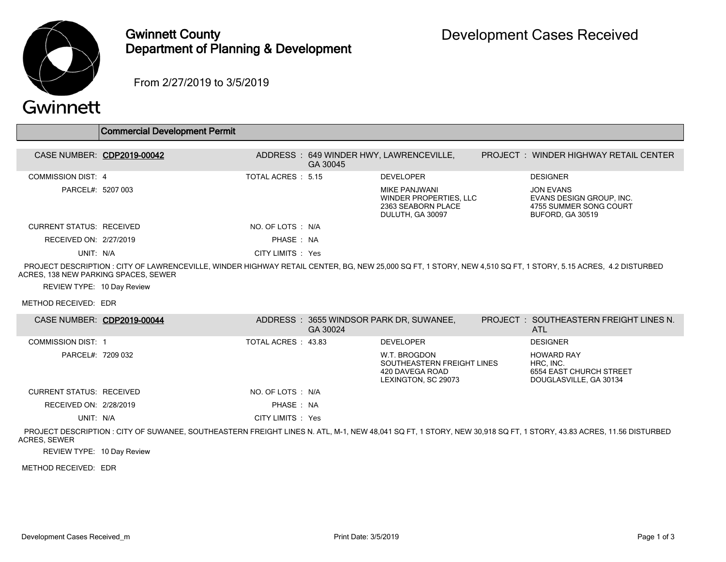

### Gwinnett County Department of Planning & Development

From 2/27/2019 to 3/5/2019

# Gwinnett

|                                      | <b>Commercial Development Permit</b>                                                                                                                          |                    |          |                                                                                   |                                                                                     |
|--------------------------------------|---------------------------------------------------------------------------------------------------------------------------------------------------------------|--------------------|----------|-----------------------------------------------------------------------------------|-------------------------------------------------------------------------------------|
| CASE NUMBER: CDP2019-00042           |                                                                                                                                                               |                    | GA 30045 | ADDRESS: 649 WINDER HWY, LAWRENCEVILLE,                                           | <b>PROJECT : WINDER HIGHWAY RETAIL CENTER</b>                                       |
| COMMISSION DIST: 4                   |                                                                                                                                                               | TOTAL ACRES : 5.15 |          | <b>DEVELOPER</b>                                                                  | <b>DESIGNER</b>                                                                     |
| PARCEL#: 5207 003                    |                                                                                                                                                               |                    |          | MIKE PANJWANI<br>WINDER PROPERTIES, LLC<br>2363 SEABORN PLACE<br>DULUTH, GA 30097 | JON EVANS<br>EVANS DESIGN GROUP, INC.<br>4755 SUMMER SONG COURT<br>BUFORD, GA 30519 |
| CURRENT STATUS: RECEIVED             |                                                                                                                                                               | NO. OF LOTS : N/A  |          |                                                                                   |                                                                                     |
| RECEIVED ON: 2/27/2019               |                                                                                                                                                               | PHASE: NA          |          |                                                                                   |                                                                                     |
| UNIT: N/A                            |                                                                                                                                                               | CITY LIMITS : Yes  |          |                                                                                   |                                                                                     |
| ACRES, 138 NEW PARKING SPACES, SEWER | PROJECT DESCRIPTION : CITY OF LAWRENCEVILLE, WINDER HIGHWAY RETAIL CENTER, BG, NEW 25,000 SQ FT, 1 STORY, NEW 4,510 SQ FT, 1 STORY, 5.15 ACRES, 4.2 DISTURBED |                    |          |                                                                                   |                                                                                     |

REVIEW TYPE: 10 Day Review

METHOD RECEIVED: EDR

|                           | CASE NUMBER: CDP2019-00044 |                     | GA 30024 | ADDRESS: 3655 WINDSOR PARK DR, SUWANEE,                                              | <b>PROJECT : SOUTHEASTERN FREIGHT LINES N.</b><br><b>ATL</b>                        |
|---------------------------|----------------------------|---------------------|----------|--------------------------------------------------------------------------------------|-------------------------------------------------------------------------------------|
| <b>COMMISSION DIST: 1</b> |                            | TOTAL ACRES : 43.83 |          | <b>DEVELOPER</b>                                                                     | <b>DESIGNER</b>                                                                     |
| PARCEL#: 7209 032         |                            |                     |          | W.T. BROGDON<br>SOUTHEASTERN FREIGHT LINES<br>420 DAVEGA ROAD<br>LEXINGTON, SC 29073 | <b>HOWARD RAY</b><br>HRC, INC.<br>6554 EAST CHURCH STREET<br>DOUGLASVILLE, GA 30134 |
| CURRENT STATUS: RECEIVED  |                            | NO. OF LOTS : N/A   |          |                                                                                      |                                                                                     |
| RECEIVED ON: 2/28/2019    |                            | PHASE: NA           |          |                                                                                      |                                                                                     |
| UNIT: N/A                 |                            | CITY LIMITS : Yes   |          |                                                                                      |                                                                                     |

 PROJECT DESCRIPTION : CITY OF SUWANEE, SOUTHEASTERN FREIGHT LINES N. ATL, M-1, NEW 48,041 SQ FT, 1 STORY, NEW 30,918 SQ FT, 1 STORY, 43.83 ACRES, 11.56 DISTURBED ACRES, SEWER

REVIEW TYPE: 10 Day Review

METHOD RECEIVED: EDR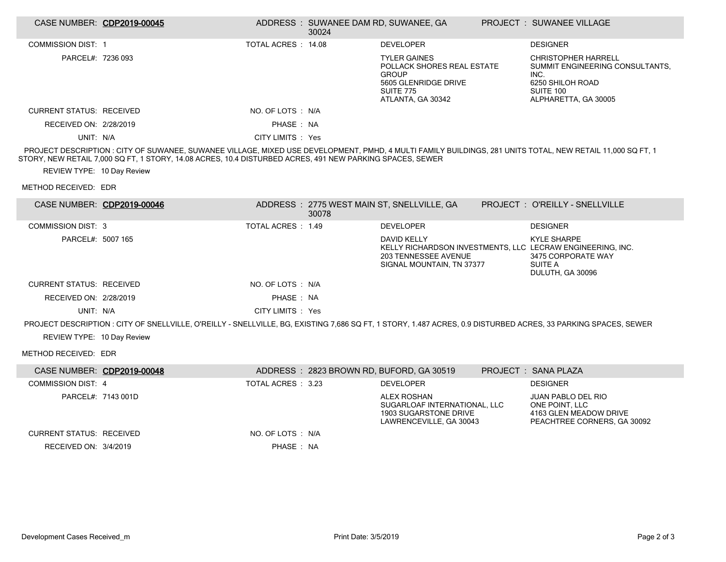| CASE NUMBER: CDP2019-00045      |                                                                                                                                                                                                                                                                        |                     | ADDRESS: SUWANEE DAM RD, SUWANEE, GA<br>30024 |                                                                                                                                    | PROJECT: SUWANEE VILLAGE                                                                                                                     |
|---------------------------------|------------------------------------------------------------------------------------------------------------------------------------------------------------------------------------------------------------------------------------------------------------------------|---------------------|-----------------------------------------------|------------------------------------------------------------------------------------------------------------------------------------|----------------------------------------------------------------------------------------------------------------------------------------------|
| <b>COMMISSION DIST: 1</b>       |                                                                                                                                                                                                                                                                        | TOTAL ACRES : 14.08 |                                               | <b>DEVELOPER</b>                                                                                                                   | <b>DESIGNER</b>                                                                                                                              |
| PARCEL#: 7236 093               |                                                                                                                                                                                                                                                                        |                     |                                               | <b>TYLER GAINES</b><br>POLLACK SHORES REAL ESTATE<br><b>GROUP</b><br>5605 GLENRIDGE DRIVE<br><b>SUITE 775</b><br>ATLANTA, GA 30342 | <b>CHRISTOPHER HARRELL</b><br>SUMMIT ENGINEERING CONSULTANTS,<br>INC.<br>6250 SHILOH ROAD<br>SUITE 100<br>ALPHARETTA, GA 30005               |
| <b>CURRENT STATUS: RECEIVED</b> |                                                                                                                                                                                                                                                                        | NO. OF LOTS : N/A   |                                               |                                                                                                                                    |                                                                                                                                              |
| RECEIVED ON: 2/28/2019          |                                                                                                                                                                                                                                                                        | PHASE: NA           |                                               |                                                                                                                                    |                                                                                                                                              |
| UNIT: N/A                       |                                                                                                                                                                                                                                                                        | CITY LIMITS : Yes   |                                               |                                                                                                                                    |                                                                                                                                              |
|                                 | PROJECT DESCRIPTION : CITY OF SUWANEE, SUWANEE VILLAGE, MIXED USE DEVELOPMENT, PMHD, 4 MULTI FAMILY BUILDINGS, 281 UNITS TOTAL, NEW RETAIL 11,000 SQ FT, 1<br>STORY, NEW RETAIL 7,000 SQ FT, 1 STORY, 14.08 ACRES, 10.4 DISTURBED ACRES, 491 NEW PARKING SPACES, SEWER |                     |                                               |                                                                                                                                    |                                                                                                                                              |
| REVIEW TYPE: 10 Day Review      |                                                                                                                                                                                                                                                                        |                     |                                               |                                                                                                                                    |                                                                                                                                              |
| METHOD RECEIVED: EDR            |                                                                                                                                                                                                                                                                        |                     |                                               |                                                                                                                                    |                                                                                                                                              |
| CASE NUMBER: CDP2019-00046      |                                                                                                                                                                                                                                                                        |                     | 30078                                         | ADDRESS: 2775 WEST MAIN ST, SNELLVILLE, GA                                                                                         | PROJECT : O'REILLY - SNELLVILLE                                                                                                              |
| <b>COMMISSION DIST: 3</b>       |                                                                                                                                                                                                                                                                        | TOTAL ACRES : 1.49  |                                               | <b>DEVELOPER</b>                                                                                                                   | <b>DESIGNER</b>                                                                                                                              |
| PARCEL#: 5007 165               |                                                                                                                                                                                                                                                                        |                     |                                               | DAVID KELLY<br>203 TENNESSEE AVENUE<br>SIGNAL MOUNTAIN, TN 37377                                                                   | <b>KYLE SHARPE</b><br>KELLY RICHARDSON INVESTMENTS, LLC LECRAW ENGINEERING, INC.<br>3475 CORPORATE WAY<br><b>SUITE A</b><br>DULUTH, GA 30096 |
| <b>CURRENT STATUS: RECEIVED</b> |                                                                                                                                                                                                                                                                        | NO. OF LOTS : N/A   |                                               |                                                                                                                                    |                                                                                                                                              |
| RECEIVED ON: 2/28/2019          |                                                                                                                                                                                                                                                                        | PHASE: NA           |                                               |                                                                                                                                    |                                                                                                                                              |
| UNIT: N/A                       |                                                                                                                                                                                                                                                                        | CITY LIMITS : Yes   |                                               |                                                                                                                                    |                                                                                                                                              |
|                                 | PROJECT DESCRIPTION : CITY OF SNELLVILLE, O'REILLY - SNELLVILLE, BG, EXISTING 7,686 SQ FT, 1 STORY, 1.487 ACRES, 0.9 DISTURBED ACRES, 33 PARKING SPACES, SEWER                                                                                                         |                     |                                               |                                                                                                                                    |                                                                                                                                              |
| REVIEW TYPE: 10 Day Review      |                                                                                                                                                                                                                                                                        |                     |                                               |                                                                                                                                    |                                                                                                                                              |
| METHOD RECEIVED: EDR            |                                                                                                                                                                                                                                                                        |                     |                                               |                                                                                                                                    |                                                                                                                                              |
| CASE NUMBER: CDP2019-00048      |                                                                                                                                                                                                                                                                        |                     |                                               | ADDRESS: 2823 BROWN RD, BUFORD, GA 30519                                                                                           | PROJECT: SANA PLAZA                                                                                                                          |
| <b>COMMISSION DIST: 4</b>       |                                                                                                                                                                                                                                                                        | TOTAL ACRES : 3.23  |                                               | <b>DEVELOPER</b>                                                                                                                   | <b>DESIGNER</b>                                                                                                                              |
| PARCEL#: 7143 001D              |                                                                                                                                                                                                                                                                        |                     |                                               | <b>ALEX ROSHAN</b><br>SUGARLOAF INTERNATIONAL, LLC<br>1903 SUGARSTONE DRIVE<br>LAWRENCEVILLE, GA 30043                             | <b>JUAN PABLO DEL RIO</b><br>ONE POINT, LLC<br>4163 GLEN MEADOW DRIVE<br>PEACHTREE CORNERS, GA 30092                                         |
| <b>CURRENT STATUS: RECEIVED</b> |                                                                                                                                                                                                                                                                        | NO. OF LOTS : N/A   |                                               |                                                                                                                                    |                                                                                                                                              |
| RECEIVED ON: 3/4/2019           |                                                                                                                                                                                                                                                                        | PHASE : NA          |                                               |                                                                                                                                    |                                                                                                                                              |